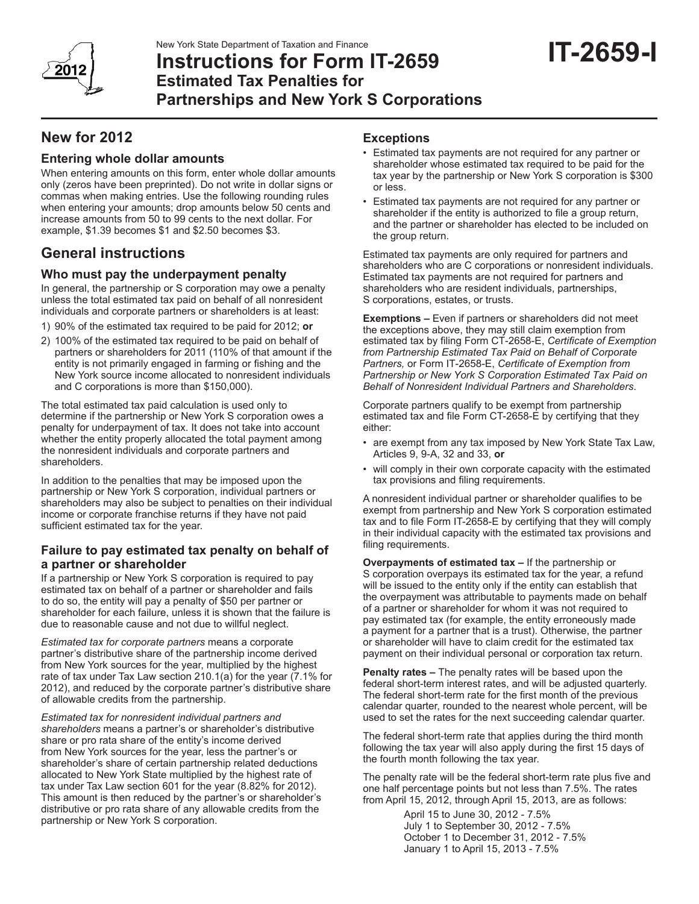# **Instructions for Form IT-2659 Estimated Tax Penalties for Partnerships and New York S Corporations**

# **New for 2012**

# **Entering whole dollar amounts**

When entering amounts on this form, enter whole dollar amounts only (zeros have been preprinted). Do not write in dollar signs or commas when making entries. Use the following rounding rules when entering your amounts; drop amounts below 50 cents and increase amounts from 50 to 99 cents to the next dollar. For example, \$1.39 becomes \$1 and \$2.50 becomes \$3.

# **General instructions**

# **Who must pay the underpayment penalty**

In general, the partnership or S corporation may owe a penalty unless the total estimated tax paid on behalf of all nonresident individuals and corporate partners or shareholders is at least:

- 1) 90% of the estimated tax required to be paid for 2012; **or**
- 2) 100% of the estimated tax required to be paid on behalf of partners or shareholders for 2011 (110% of that amount if the entity is not primarily engaged in farming or fishing and the New York source income allocated to nonresident individuals and C corporations is more than \$150,000).

The total estimated tax paid calculation is used only to determine if the partnership or New York S corporation owes a penalty for underpayment of tax. It does not take into account whether the entity properly allocated the total payment among the nonresident individuals and corporate partners and shareholders.

In addition to the penalties that may be imposed upon the partnership or New York S corporation, individual partners or shareholders may also be subject to penalties on their individual income or corporate franchise returns if they have not paid sufficient estimated tax for the year.

## **Failure to pay estimated tax penalty on behalf of a partner or shareholder**

If a partnership or New York S corporation is required to pay estimated tax on behalf of a partner or shareholder and fails to do so, the entity will pay a penalty of \$50 per partner or shareholder for each failure, unless it is shown that the failure is due to reasonable cause and not due to willful neglect.

*Estimated tax for corporate partners* means a corporate partner's distributive share of the partnership income derived from New York sources for the year, multiplied by the highest rate of tax under Tax Law section 210.1(a) for the year (7.1% for 2012), and reduced by the corporate partner's distributive share of allowable credits from the partnership.

*Estimated tax for nonresident individual partners and shareholders* means a partner's or shareholder's distributive share or pro rata share of the entity's income derived from New York sources for the year, less the partner's or shareholder's share of certain partnership related deductions allocated to New York State multiplied by the highest rate of tax under Tax Law section 601 for the year (8.82% for 2012). This amount is then reduced by the partner's or shareholder's distributive or pro rata share of any allowable credits from the partnership or New York S corporation.

# **Exceptions**

- Estimated tax payments are not required for any partner or shareholder whose estimated tax required to be paid for the tax year by the partnership or New York S corporation is \$300 or less.
- Estimated tax payments are not required for any partner or shareholder if the entity is authorized to file a group return, and the partner or shareholder has elected to be included on the group return.

Estimated tax payments are only required for partners and shareholders who are C corporations or nonresident individuals. Estimated tax payments are not required for partners and shareholders who are resident individuals, partnerships, S corporations, estates, or trusts.

**Exemptions –** Even if partners or shareholders did not meet the exceptions above, they may still claim exemption from estimated tax by filing Form CT-2658-E, *Certificate of Exemption from Partnership Estimated Tax Paid on Behalf of Corporate Partners,* or Form IT-2658-E, *Certificate of Exemption from Partnership or New York S Corporation Estimated Tax Paid on Behalf of Nonresident Individual Partners and Shareholders*.

Corporate partners qualify to be exempt from partnership estimated tax and file Form CT-2658-E by certifying that they either:

- are exempt from any tax imposed by New York State Tax Law, Articles 9, 9-A, 32 and 33, **or**
- will comply in their own corporate capacity with the estimated tax provisions and filing requirements.

A nonresident individual partner or shareholder qualifies to be exempt from partnership and New York S corporation estimated tax and to file Form IT-2658-E by certifying that they will comply in their individual capacity with the estimated tax provisions and filing requirements.

**Overpayments of estimated tax –** If the partnership or S corporation overpays its estimated tax for the year, a refund will be issued to the entity only if the entity can establish that the overpayment was attributable to payments made on behalf of a partner or shareholder for whom it was not required to pay estimated tax (for example, the entity erroneously made a payment for a partner that is a trust). Otherwise, the partner or shareholder will have to claim credit for the estimated tax payment on their individual personal or corporation tax return.

**Penalty rates –** The penalty rates will be based upon the federal short-term interest rates, and will be adjusted quarterly. The federal short-term rate for the first month of the previous calendar quarter, rounded to the nearest whole percent, will be used to set the rates for the next succeeding calendar quarter.

The federal short-term rate that applies during the third month following the tax year will also apply during the first 15 days of the fourth month following the tax year.

The penalty rate will be the federal short-term rate plus five and one half percentage points but not less than 7.5%. The rates from April 15, 2012, through April 15, 2013, are as follows:

> April 15 to June 30, 2012 - 7.5% July 1 to September 30, 2012 - 7.5% October 1 to December 31, 2012 - 7.5% January 1 to April 15, 2013 - 7.5%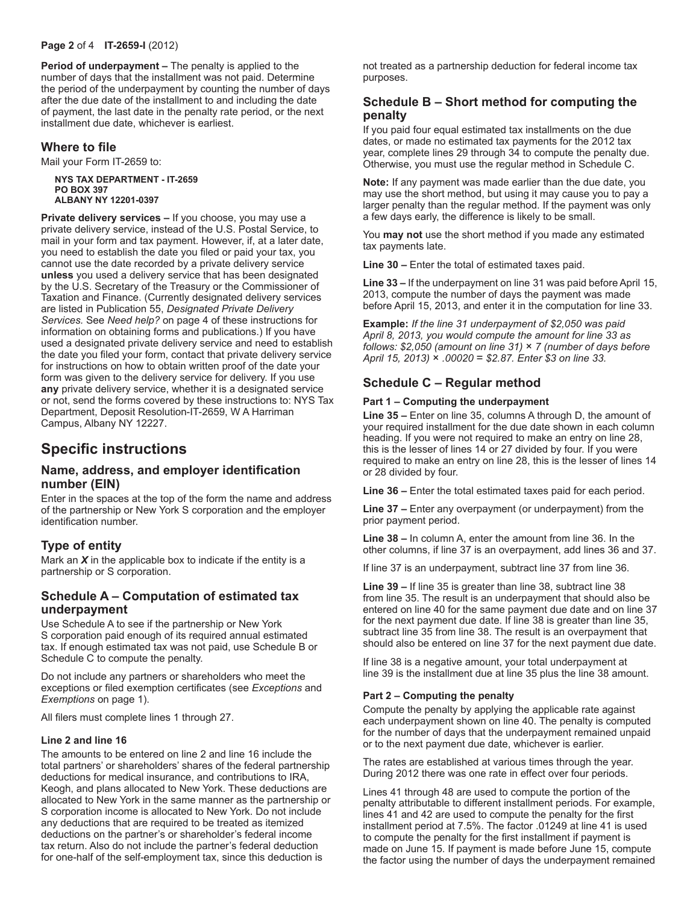#### **Page 2** of 4 **IT-2659-I** (2012)

**Period of underpayment –** The penalty is applied to the number of days that the installment was not paid. Determine the period of the underpayment by counting the number of days after the due date of the installment to and including the date of payment, the last date in the penalty rate period, or the next installment due date, whichever is earliest.

### **Where to file**

Mail your Form IT-2659 to:

**NYS TAX DEPARTMENT - IT-2659 PO BOX 397 ALBANY NY 12201-0397**

**Private delivery services –** If you choose, you may use a private delivery service, instead of the U.S. Postal Service, to mail in your form and tax payment. However, if, at a later date, you need to establish the date you filed or paid your tax, you cannot use the date recorded by a private delivery service **unless** you used a delivery service that has been designated by the U.S. Secretary of the Treasury or the Commissioner of Taxation and Finance. (Currently designated delivery services are listed in Publication 55, *Designated Private Delivery Services.* See *Need help?* on page 4 of these instructions for information on obtaining forms and publications.) If you have used a designated private delivery service and need to establish the date you filed your form, contact that private delivery service for instructions on how to obtain written proof of the date your form was given to the delivery service for delivery. If you use **any** private delivery service, whether it is a designated service or not, send the forms covered by these instructions to: NYS Tax Department, Deposit Resolution-IT-2659, W A Harriman Campus, Albany NY 12227.

# **Specific instructions**

### **Name, address, and employer identification number (EIN)**

Enter in the spaces at the top of the form the name and address of the partnership or New York S corporation and the employer identification number.

## **Type of entity**

Mark an *X* in the applicable box to indicate if the entity is a partnership or S corporation.

## **Schedule A – Computation of estimated tax underpayment**

Use Schedule A to see if the partnership or New York S corporation paid enough of its required annual estimated tax. If enough estimated tax was not paid, use Schedule B or Schedule C to compute the penalty.

Do not include any partners or shareholders who meet the exceptions or filed exemption certificates (see *Exceptions* and *Exemptions* on page 1).

All filers must complete lines 1 through 27.

#### **Line 2 and line 16**

The amounts to be entered on line 2 and line 16 include the total partners' or shareholders' shares of the federal partnership deductions for medical insurance, and contributions to IRA, Keogh, and plans allocated to New York. These deductions are allocated to New York in the same manner as the partnership or S corporation income is allocated to New York. Do not include any deductions that are required to be treated as itemized deductions on the partner's or shareholder's federal income tax return. Also do not include the partner's federal deduction for one-half of the self-employment tax, since this deduction is

not treated as a partnership deduction for federal income tax purposes.

## **Schedule B – Short method for computing the penalty**

If you paid four equal estimated tax installments on the due dates, or made no estimated tax payments for the 2012 tax year, complete lines 29 through 34 to compute the penalty due. Otherwise, you must use the regular method in Schedule C.

**Note:** If any payment was made earlier than the due date, you may use the short method, but using it may cause you to pay a larger penalty than the regular method. If the payment was only a few days early, the difference is likely to be small.

You **may not** use the short method if you made any estimated tax payments late.

**Line 30 –** Enter the total of estimated taxes paid.

**Line 33 –** If the underpayment on line 31 was paid before April 15, 2013, compute the number of days the payment was made before April 15, 2013, and enter it in the computation for line 33.

**Example:** *If the line 31 underpayment of \$2,050 was paid April 8, 2013, you would compute the amount for line 33 as follows: \$2,050 (amount on line 31)* × *7 (number of days before April 15, 2013)* × *.00020* = *\$2.87. Enter \$3 on line 33.*

## **Schedule C – Regular method**

#### **Part 1 – Computing the underpayment**

**Line 35 –** Enter on line 35, columns A through D, the amount of your required installment for the due date shown in each column heading. If you were not required to make an entry on line 28, this is the lesser of lines 14 or 27 divided by four. If you were required to make an entry on line 28, this is the lesser of lines 14 or 28 divided by four.

**Line 36 –** Enter the total estimated taxes paid for each period.

**Line 37 –** Enter any overpayment (or underpayment) from the prior payment period.

**Line 38 –** In column A, enter the amount from line 36. In the other columns, if line 37 is an overpayment, add lines 36 and 37.

If line 37 is an underpayment, subtract line 37 from line 36.

**Line 39 –** If line 35 is greater than line 38, subtract line 38 from line 35. The result is an underpayment that should also be entered on line 40 for the same payment due date and on line 37 for the next payment due date. If line 38 is greater than line 35, subtract line 35 from line 38. The result is an overpayment that should also be entered on line 37 for the next payment due date.

If line 38 is a negative amount, your total underpayment at line 39 is the installment due at line 35 plus the line 38 amount.

#### **Part 2 – Computing the penalty**

Compute the penalty by applying the applicable rate against each underpayment shown on line 40. The penalty is computed for the number of days that the underpayment remained unpaid or to the next payment due date, whichever is earlier.

The rates are established at various times through the year. During 2012 there was one rate in effect over four periods.

Lines 41 through 48 are used to compute the portion of the penalty attributable to different installment periods. For example, lines 41 and 42 are used to compute the penalty for the first installment period at 7.5%. The factor .01249 at line 41 is used to compute the penalty for the first installment if payment is made on June 15. If payment is made before June 15, compute the factor using the number of days the underpayment remained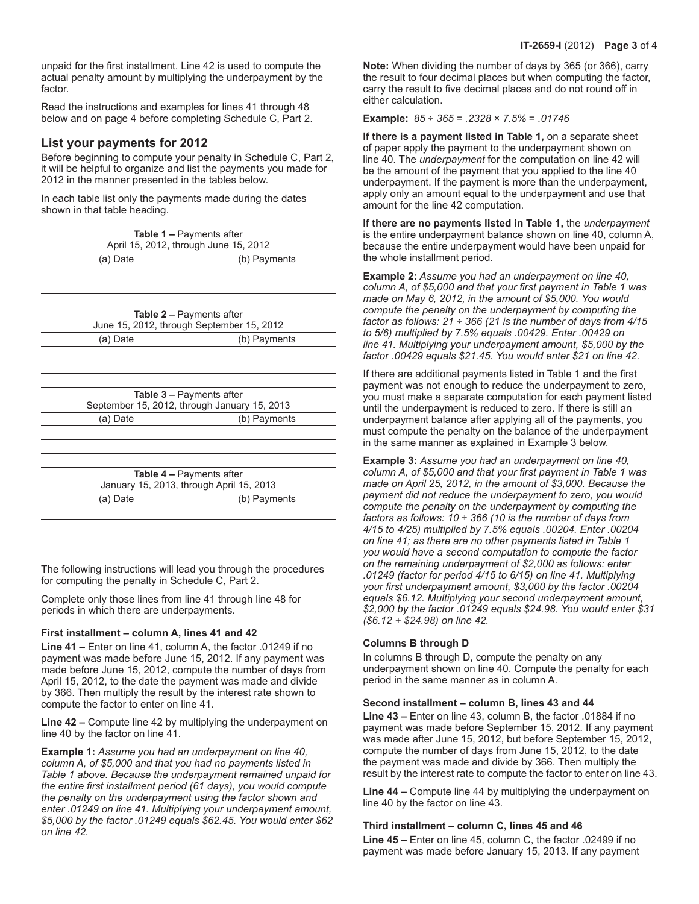unpaid for the first installment. Line 42 is used to compute the actual penalty amount by multiplying the underpayment by the factor.

Read the instructions and examples for lines 41 through 48 below and on page 4 before completing Schedule C, Part 2.

## **List your payments for 2012**

Before beginning to compute your penalty in Schedule C, Part 2, it will be helpful to organize and list the payments you made for 2012 in the manner presented in the tables below.

In each table list only the payments made during the dates shown in that table heading.

| <b>Table 1 – Payments after</b><br>April 15, 2012, through June 15, 2012     |              |  |
|------------------------------------------------------------------------------|--------------|--|
| (a) Date                                                                     | (b) Payments |  |
|                                                                              |              |  |
|                                                                              |              |  |
|                                                                              |              |  |
| <b>Table 2 – Payments after</b><br>June 15, 2012, through September 15, 2012 |              |  |
| (a) Date                                                                     | (b) Payments |  |
|                                                                              |              |  |
|                                                                              |              |  |
|                                                                              |              |  |
| Table 3 - Payments after<br>September 15, 2012, through January 15, 2013     |              |  |
| (a) Date                                                                     | (b) Payments |  |
|                                                                              |              |  |
|                                                                              |              |  |
|                                                                              |              |  |
| <b>Table 4 – Payments after</b><br>January 15, 2013, through April 15, 2013  |              |  |
| (a) Date                                                                     | (b) Payments |  |
|                                                                              |              |  |
|                                                                              |              |  |
|                                                                              |              |  |
|                                                                              |              |  |

The following instructions will lead you through the procedures for computing the penalty in Schedule C, Part 2.

Complete only those lines from line 41 through line 48 for periods in which there are underpayments.

#### **First installment – column A, lines 41 and 42**

**Line 41 –** Enter on line 41, column A, the factor .01249 if no payment was made before June 15, 2012. If any payment was made before June 15, 2012, compute the number of days from April 15, 2012, to the date the payment was made and divide by 366. Then multiply the result by the interest rate shown to compute the factor to enter on line 41.

**Line 42 –** Compute line 42 by multiplying the underpayment on line 40 by the factor on line 41.

**Example 1:** *Assume you had an underpayment on line 40, column A, of \$5,000 and that you had no payments listed in Table 1 above. Because the underpayment remained unpaid for the entire first installment period (61 days), you would compute the penalty on the underpayment using the factor shown and enter .01249 on line 41. Multiplying your underpayment amount, \$5,000 by the factor .01249 equals \$62.45. You would enter \$62 on line 42.*

**Note:** When dividing the number of days by 365 (or 366), carry the result to four decimal places but when computing the factor, carry the result to five decimal places and do not round off in either calculation.

#### **Example:** *85* ÷ *365* = *.2328* × *7.5%* = *.01746*

**If there is a payment listed in Table 1,** on a separate sheet of paper apply the payment to the underpayment shown on line 40. The *underpayment* for the computation on line 42 will be the amount of the payment that you applied to the line 40 underpayment. If the payment is more than the underpayment, apply only an amount equal to the underpayment and use that amount for the line 42 computation.

**If there are no payments listed in Table 1,** the *underpayment* is the entire underpayment balance shown on line 40, column A, because the entire underpayment would have been unpaid for the whole installment period.

**Example 2:** *Assume you had an underpayment on line 40, column A, of \$5,000 and that your first payment in Table 1 was made on May 6, 2012, in the amount of \$5,000. You would compute the penalty on the underpayment by computing the factor as follows: 21* ÷ *366 (21 is the number of days from 4/15 to 5/6) multiplied by 7.5% equals .00429. Enter .00429 on line 41. Multiplying your underpayment amount, \$5,000 by the factor .00429 equals \$21.45. You would enter \$21 on line 42.*

If there are additional payments listed in Table 1 and the first payment was not enough to reduce the underpayment to zero, you must make a separate computation for each payment listed until the underpayment is reduced to zero. If there is still an underpayment balance after applying all of the payments, you must compute the penalty on the balance of the underpayment in the same manner as explained in Example 3 below.

**Example 3:** *Assume you had an underpayment on line 40, column A, of \$5,000 and that your first payment in Table 1 was made on April 25, 2012, in the amount of \$3,000. Because the payment did not reduce the underpayment to zero, you would compute the penalty on the underpayment by computing the factors as follows: 10* ÷ *366 (10 is the number of days from 4/15 to 4/25) multiplied by 7.5% equals .00204. Enter .00204 on line 41; as there are no other payments listed in Table 1 you would have a second computation to compute the factor on the remaining underpayment of \$2,000 as follows: enter .01249 (factor for period 4/15 to 6/15) on line 41. Multiplying your first underpayment amount, \$3,000 by the factor .00204 equals \$6.12. Multiplying your second underpayment amount, \$2,000 by the factor .01249 equals \$24.98. You would enter \$31 (\$6.12 + \$24.98) on line 42.*

#### **Columns B through D**

In columns B through D, compute the penalty on any underpayment shown on line 40. Compute the penalty for each period in the same manner as in column A.

#### **Second installment – column B, lines 43 and 44**

**Line 43 –** Enter on line 43, column B, the factor .01884 if no payment was made before September 15, 2012. If any payment was made after June 15, 2012, but before September 15, 2012, compute the number of days from June 15, 2012, to the date the payment was made and divide by 366. Then multiply the result by the interest rate to compute the factor to enter on line 43.

**Line 44 –** Compute line 44 by multiplying the underpayment on line 40 by the factor on line 43.

#### **Third installment – column C, lines 45 and 46**

**Line 45 –** Enter on line 45, column C, the factor .02499 if no payment was made before January 15, 2013. If any payment